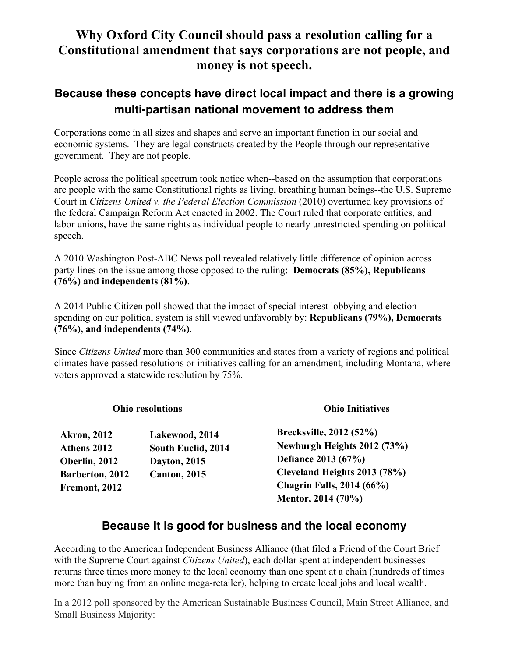# **Why Oxford City Council should pass a resolution calling for a Constitutional amendment that says corporations are not people, and money is not speech.**

## **Because these concepts have direct local impact and there is a growing multi-partisan national movement to address them**

Corporations come in all sizes and shapes and serve an important function in our social and economic systems. They are legal constructs created by the People through our representative government. They are not people.

People across the political spectrum took notice when--based on the assumption that corporations are people with the same Constitutional rights as living, breathing human beings--the U.S. Supreme Court in *Citizens United v. the Federal Election Commission* (2010) overturned key provisions of the federal Campaign Reform Act enacted in 2002. The Court ruled that corporate entities, and labor unions, have the same rights as individual people to nearly unrestricted spending on political speech.

A 2010 Washington Post-ABC News poll revealed relatively little difference of opinion across party lines on the issue among those opposed to the ruling: **Democrats (85%), Republicans (76%) and independents (81%)**.

A 2014 Public Citizen poll showed that the impact of special interest lobbying and election spending on our political system is still viewed unfavorably by: **Republicans (79%), Democrats (76%), and independents (74%)**.

Since *Citizens United* more than 300 communities and states from a variety of regions and political climates have passed resolutions or initiatives calling for an amendment, including Montana, where voters approved a statewide resolution by 75%.

| <b>Ohio resolutions</b> |                |
|-------------------------|----------------|
| <b>Akron, 2012</b>      | Lakewood, 2014 |

**Athens 2012 South Euclid, 2014 Oberlin, 2012 Dayton, 2015 Barberton, 2012 Canton, 2015 Fremont, 2012**

**Ohio Initiatives**

**Brecksville, 2012 (52%) Newburgh Heights 2012 (73%) Defiance 2013 (67%) Cleveland Heights 2013 (78%) Chagrin Falls, 2014 (66%) Mentor, 2014 (70%)**

## **Because it is good for business and the local economy**

According to the American Independent Business Alliance (that filed a Friend of the Court Brief with the Supreme Court against *Citizens United*), each dollar spent at independent businesses returns three times more money to the local economy than one spent at a chain (hundreds of times more than buying from an online mega-retailer), helping to create local jobs and local wealth.

In a 2012 poll sponsored by the American Sustainable Business Council, Main Street Alliance, and Small Business Majority: